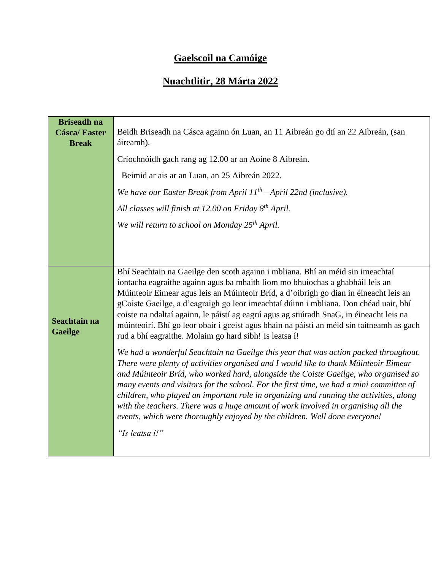## **Gaelscoil na Camóige**

## **Nuachtlitir, 28 Márta 2022**

| <b>Briseadh na</b><br><b>Cásca/Easter</b><br><b>Break</b> | Beidh Briseadh na Cásca againn ón Luan, an 11 Aibreán go dtí an 22 Aibreán, (san<br>áireamh).<br>Críochnóidh gach rang ag 12.00 ar an Aoine 8 Aibreán.<br>Beimid ar ais ar an Luan, an 25 Aibreán 2022.<br>We have our Easter Break from April $11^{th}$ – April 22nd (inclusive).<br>All classes will finish at 12.00 on Friday 8 <sup>th</sup> April.<br>We will return to school on Monday 25 <sup>th</sup> April.                                                                                                                                                                                                                                                                                                                                                                                                                                                                                                                                                                                                                                                                                                                                                                                                                               |
|-----------------------------------------------------------|-----------------------------------------------------------------------------------------------------------------------------------------------------------------------------------------------------------------------------------------------------------------------------------------------------------------------------------------------------------------------------------------------------------------------------------------------------------------------------------------------------------------------------------------------------------------------------------------------------------------------------------------------------------------------------------------------------------------------------------------------------------------------------------------------------------------------------------------------------------------------------------------------------------------------------------------------------------------------------------------------------------------------------------------------------------------------------------------------------------------------------------------------------------------------------------------------------------------------------------------------------|
| Seachtain na<br><b>Gaeilge</b>                            | Bhí Seachtain na Gaeilge den scoth againn i mbliana. Bhí an méid sin imeachtaí<br>iontacha eagraithe againn agus ba mhaith liom mo bhuíochas a ghabháil leis an<br>Múinteoir Eimear agus leis an Múinteoir Bríd, a d'oibrigh go dian in éineacht leis an<br>gCoiste Gaeilge, a d'eagraigh go leor imeachtaí dúinn i mbliana. Don chéad uair, bhí<br>coiste na ndaltaí againn, le páistí ag eagrú agus ag stiúradh SnaG, in éineacht leis na<br>múinteoirí. Bhí go leor obair i gceist agus bhain na páistí an méid sin taitneamh as gach<br>rud a bhí eagraithe. Molaim go hard sibh! Is leatsa í!<br>We had a wonderful Seachtain na Gaeilge this year that was action packed throughout.<br>There were plenty of activities organised and I would like to thank Múinteoir Eimear<br>and Múinteoir Bríd, who worked hard, alongside the Coiste Gaeilge, who organised so<br>many events and visitors for the school. For the first time, we had a mini committee of<br>children, who played an important role in organizing and running the activities, along<br>with the teachers. There was a huge amount of work involved in organising all the<br>events, which were thoroughly enjoyed by the children. Well done everyone!<br>"Is leatsa i!" |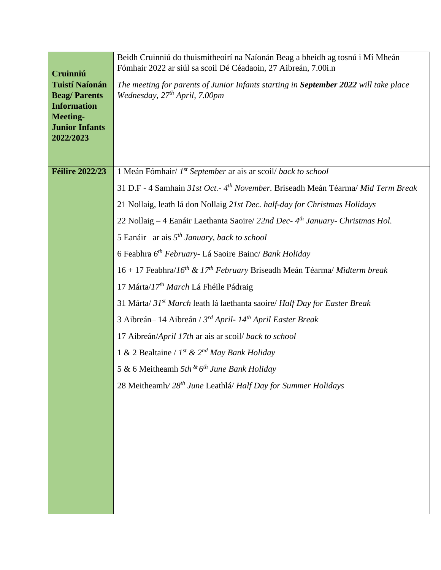|                                           | Beidh Cruinniú do thuismitheoirí na Naíonán Beag a bheidh ag tosnú i Mí Mheán<br>Fómhair 2022 ar siúl sa scoil Dé Céadaoin, 27 Aibreán, 7.00i.n |
|-------------------------------------------|-------------------------------------------------------------------------------------------------------------------------------------------------|
| Cruinniú<br><b>Tuistí Naíonán</b>         | The meeting for parents of Junior Infants starting in September 2022 will take place                                                            |
| <b>Beag/Parents</b><br><b>Information</b> | Wednesday, 27 <sup>th</sup> April, 7.00pm                                                                                                       |
| <b>Meeting-</b>                           |                                                                                                                                                 |
| <b>Junior Infants</b><br>2022/2023        |                                                                                                                                                 |
|                                           |                                                                                                                                                 |
| <b>Féilire 2022/23</b>                    | 1 Meán Fómhair/ 1st September ar ais ar scoil/ back to school                                                                                   |
|                                           | 31 D.F - 4 Samhain 31st Oct. - 4 <sup>th</sup> November. Briseadh Meán Téarma/ Mid Term Break                                                   |
|                                           | 21 Nollaig, leath lá don Nollaig 21st Dec. half-day for Christmas Holidays                                                                      |
|                                           | 22 Nollaig – 4 Eanáir Laethanta Saoire/ 22nd Dec- 4 <sup>th</sup> January- Christmas Hol.                                                       |
|                                           | 5 Eanáir ar ais $5th January, back to school$                                                                                                   |
|                                           | 6 Feabhra 6 <sup>th</sup> February- Lá Saoire Bainc/ Bank Holiday                                                                               |
|                                           | $16 + 17$ Feabhra/ $16^{th}$ & $17^{th}$ February Briseadh Meán Téarma/ Midterm break                                                           |
|                                           | 17 Márta/17 <sup>th</sup> March Lá Fhéile Pádraig                                                                                               |
|                                           | 31 Márta/ 31 <sup>st</sup> March leath lá laethanta saoire/ Half Day for Easter Break                                                           |
|                                           | 3 Aibreán - 14 Aibreán / 3rd April- 14th April Easter Break                                                                                     |
|                                           | 17 Aibreán/April 17th ar ais ar scoil/ back to school                                                                                           |
|                                           | 1 & 2 Bealtaine / $I^{st}$ & $2^{nd}$ May Bank Holiday                                                                                          |
|                                           | 5 & 6 Meitheamh $5th$ & $6th$ June Bank Holiday                                                                                                 |
|                                           | 28 Meitheamh/28 <sup>th</sup> June Leathlá/ Half Day for Summer Holidays                                                                        |
|                                           |                                                                                                                                                 |
|                                           |                                                                                                                                                 |
|                                           |                                                                                                                                                 |
|                                           |                                                                                                                                                 |
|                                           |                                                                                                                                                 |
|                                           |                                                                                                                                                 |
|                                           |                                                                                                                                                 |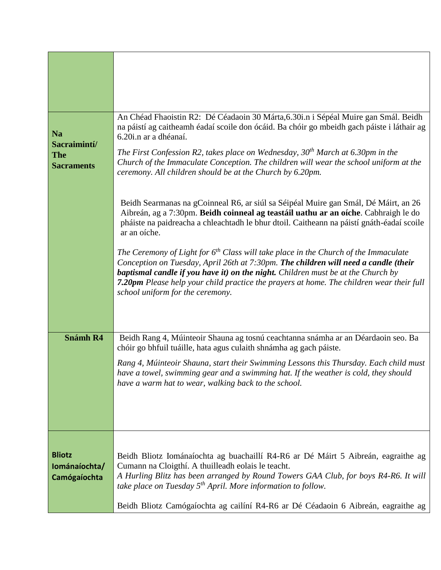| <b>Na</b><br>Sacraimintí/                      | An Chéad Fhaoistin R2: Dé Céadaoin 30 Márta, 6.30i.n i Sépéal Muire gan Smál. Beidh<br>na páistí ag caitheamh éadaí scoile don ócáid. Ba chóir go mbeidh gach páiste i láthair ag<br>6.20 <i>i.n</i> ar a dhéanaí.                                                                                                                                                                                      |
|------------------------------------------------|---------------------------------------------------------------------------------------------------------------------------------------------------------------------------------------------------------------------------------------------------------------------------------------------------------------------------------------------------------------------------------------------------------|
| <b>The</b><br><b>Sacraments</b>                | The First Confession R2, takes place on Wednesday, $30th$ March at 6.30pm in the<br>Church of the Immaculate Conception. The children will wear the school uniform at the<br>ceremony. All children should be at the Church by 6.20pm.                                                                                                                                                                  |
|                                                | Beidh Searmanas na gCoinneal R6, ar siúl sa Séipéal Muire gan Smál, Dé Máirt, an 26<br>Aibreán, ag a 7:30pm. Beidh coinneal ag teastáil uathu ar an oíche. Cabhraigh le do<br>pháiste na paidreacha a chleachtadh le bhur dtoil. Caitheann na páistí gnáth-éadaí scoile<br>ar an oíche.                                                                                                                 |
|                                                | The Ceremony of Light for $6th$ Class will take place in the Church of the Immaculate<br>Conception on Tuesday, April 26th at 7:30pm. The children will need a candle (their<br><b>baptismal candle if you have it) on the night.</b> Children must be at the Church by<br>7.20pm Please help your child practice the prayers at home. The children wear their full<br>school uniform for the ceremony. |
| <b>Snámh R4</b>                                | Beidh Rang 4, Múinteoir Shauna ag tosnú ceachtanna snámha ar an Déardaoin seo. Ba                                                                                                                                                                                                                                                                                                                       |
|                                                | chóir go bhfuil tuáille, hata agus culaith shnámha ag gach páiste.                                                                                                                                                                                                                                                                                                                                      |
|                                                | Rang 4, Múinteoir Shauna, start their Swimming Lessons this Thursday. Each child must<br>have a towel, swimming gear and a swimming hat. If the weather is cold, they should<br>have a warm hat to wear, walking back to the school.                                                                                                                                                                    |
|                                                |                                                                                                                                                                                                                                                                                                                                                                                                         |
|                                                |                                                                                                                                                                                                                                                                                                                                                                                                         |
| <b>Bliotz</b><br>Iománaíochta/<br>Camógaíochta | Beidh Bliotz Iománaíochta ag buachaillí R4-R6 ar Dé Máirt 5 Aibreán, eagraithe ag<br>Cumann na Cloigthí. A thuilleadh eolais le teacht.<br>A Hurling Blitz has been arranged by Round Towers GAA Club, for boys R4-R6. It will<br>take place on Tuesday $5^{th}$ April. More information to follow.                                                                                                     |
|                                                | Beidh Bliotz Camógaíochta ag cailíní R4-R6 ar Dé Céadaoin 6 Aibreán, eagraithe ag                                                                                                                                                                                                                                                                                                                       |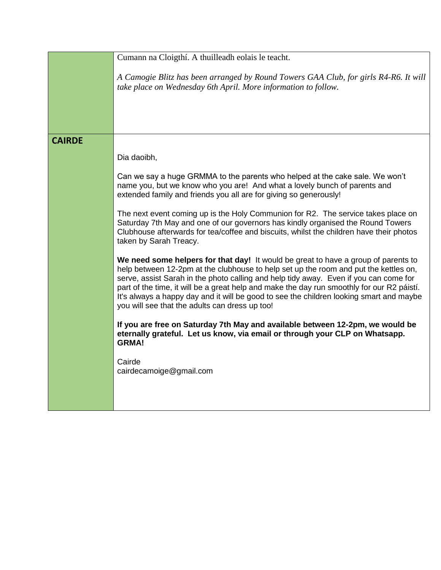|               | Cumann na Cloigthí. A thuilleadh eolais le teacht.                                                                                                                                                                                                                                                                                                                                                                                                                                                             |
|---------------|----------------------------------------------------------------------------------------------------------------------------------------------------------------------------------------------------------------------------------------------------------------------------------------------------------------------------------------------------------------------------------------------------------------------------------------------------------------------------------------------------------------|
|               | A Camogie Blitz has been arranged by Round Towers GAA Club, for girls R4-R6. It will<br>take place on Wednesday 6th April. More information to follow.                                                                                                                                                                                                                                                                                                                                                         |
|               |                                                                                                                                                                                                                                                                                                                                                                                                                                                                                                                |
| <b>CAIRDE</b> |                                                                                                                                                                                                                                                                                                                                                                                                                                                                                                                |
|               | Dia daoibh,                                                                                                                                                                                                                                                                                                                                                                                                                                                                                                    |
|               | Can we say a huge GRMMA to the parents who helped at the cake sale. We won't<br>name you, but we know who you are! And what a lovely bunch of parents and<br>extended family and friends you all are for giving so generously!                                                                                                                                                                                                                                                                                 |
|               | The next event coming up is the Holy Communion for R2. The service takes place on<br>Saturday 7th May and one of our governors has kindly organised the Round Towers<br>Clubhouse afterwards for tea/coffee and biscuits, whilst the children have their photos<br>taken by Sarah Treacy.                                                                                                                                                                                                                      |
|               | We need some helpers for that day! It would be great to have a group of parents to<br>help between 12-2pm at the clubhouse to help set up the room and put the kettles on,<br>serve, assist Sarah in the photo calling and help tidy away. Even if you can come for<br>part of the time, it will be a great help and make the day run smoothly for our R2 páistí.<br>It's always a happy day and it will be good to see the children looking smart and maybe<br>you will see that the adults can dress up too! |
|               | If you are free on Saturday 7th May and available between 12-2pm, we would be<br>eternally grateful. Let us know, via email or through your CLP on Whatsapp.<br><b>GRMA!</b>                                                                                                                                                                                                                                                                                                                                   |
|               | Cairde<br>cairdecamoige@gmail.com                                                                                                                                                                                                                                                                                                                                                                                                                                                                              |
|               |                                                                                                                                                                                                                                                                                                                                                                                                                                                                                                                |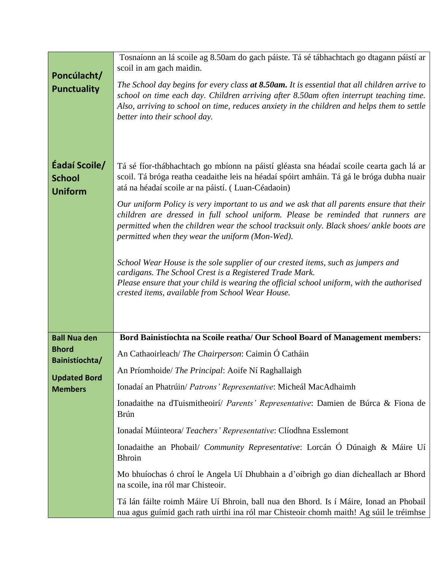| Poncúlacht/                                      | Tosnaíonn an lá scoile ag 8.50am do gach páiste. Tá sé tábhachtach go dtagann páistí ar<br>scoil in am gach maidin.                                                                                                                                                                                                         |
|--------------------------------------------------|-----------------------------------------------------------------------------------------------------------------------------------------------------------------------------------------------------------------------------------------------------------------------------------------------------------------------------|
| <b>Punctuality</b>                               | The School day begins for every class at 8.50am. It is essential that all children arrive to<br>school on time each day. Children arriving after 8.50am often interrupt teaching time.<br>Also, arriving to school on time, reduces anxiety in the children and helps them to settle<br>better into their school day.       |
| Éadaí Scoile/<br><b>School</b><br><b>Uniform</b> | Tá sé fíor-thábhachtach go mbíonn na páistí gléasta sna héadaí scoile cearta gach lá ar<br>scoil. Tá bróga reatha ceadaithe leis na héadaí spóirt amháin. Tá gá le bróga dubha nuair<br>atá na héadaí scoile ar na páistí. (Luan-Céadaoin)                                                                                  |
|                                                  | Our uniform Policy is very important to us and we ask that all parents ensure that their<br>children are dressed in full school uniform. Please be reminded that runners are<br>permitted when the children wear the school tracksuit only. Black shoes/ ankle boots are<br>permitted when they wear the uniform (Mon-Wed). |
|                                                  | School Wear House is the sole supplier of our crested items, such as jumpers and<br>cardigans. The School Crest is a Registered Trade Mark.<br>Please ensure that your child is wearing the official school uniform, with the authorised<br>crested items, available from School Wear House.                                |
| <b>Ball Nua den</b>                              | Bord Bainistíochta na Scoile reatha/ Our School Board of Management members:                                                                                                                                                                                                                                                |
| <b>Bhord</b><br>Bainistíochta/                   | An Cathaoirleach/ The Chairperson: Caimin Ó Catháin                                                                                                                                                                                                                                                                         |
| <b>Updated Bord</b>                              | An Príomhoide/ The Principal: Aoife Ní Raghallaigh                                                                                                                                                                                                                                                                          |
| <b>Members</b>                                   | Ionadaí an Phatrúin/ Patrons' Representative: Micheál MacAdhaimh                                                                                                                                                                                                                                                            |
|                                                  | Ionadaithe na dTuismitheoirí/ Parents' Representative: Damien de Búrca & Fiona de<br><b>Brún</b>                                                                                                                                                                                                                            |
|                                                  | Ionadaí Múinteora/ <i>Teachers' Representative</i> : Clíodhna Esslemont                                                                                                                                                                                                                                                     |
|                                                  | Ionadaithe an Phobail/ Community Representative: Lorcán Ó Dúnaigh & Máire Uí<br><b>Bhroin</b>                                                                                                                                                                                                                               |
|                                                  | Mo bhuíochas ó chroí le Angela Uí Dhubhain a d'oibrigh go dian dícheallach ar Bhord<br>na scoile, ina ról mar Chisteoir.                                                                                                                                                                                                    |
|                                                  | Tá lán fáilte roimh Máire Uí Bhroin, ball nua den Bhord. Is í Máire, Ionad an Phobail<br>nua agus guímid gach rath uirthi ina ról mar Chisteoir chomh maith! Ag súil le tréimhse                                                                                                                                            |